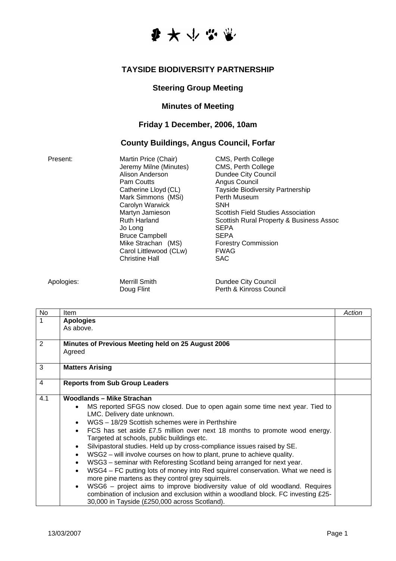

#### **TAYSIDE BIODIVERSITY PARTNERSHIP**

## **Steering Group Meeting**

### **Minutes of Meeting**

## **Friday 1 December, 2006, 10am**

# **County Buildings, Angus Council, Forfar**

| <b>SEPA</b><br>Jo Long<br><b>Bruce Campbell</b><br><b>SEPA</b><br>Mike Strachan (MS)<br><b>Forestry Commission</b><br><b>FWAG</b><br>Carol Littlewood (CLw)<br><b>Christine Hall</b><br><b>SAC</b> |  |
|----------------------------------------------------------------------------------------------------------------------------------------------------------------------------------------------------|--|
|----------------------------------------------------------------------------------------------------------------------------------------------------------------------------------------------------|--|

Apologies: Merrill Smith Dundee City Council<br>Doug Flint Dundee City Council<br>Perth & Kinross Cour Perth & Kinross Council

| <b>No</b> | Item                                                                                         | Action |
|-----------|----------------------------------------------------------------------------------------------|--------|
| 1         | <b>Apologies</b>                                                                             |        |
|           | As above.                                                                                    |        |
|           |                                                                                              |        |
| 2         | Minutes of Previous Meeting held on 25 August 2006                                           |        |
|           | Agreed                                                                                       |        |
| 3         | <b>Matters Arising</b>                                                                       |        |
|           |                                                                                              |        |
| 4         | <b>Reports from Sub Group Leaders</b>                                                        |        |
| 4.1       | <b>Woodlands - Mike Strachan</b>                                                             |        |
|           | MS reported SFGS now closed. Due to open again some time next year. Tied to                  |        |
|           | LMC. Delivery date unknown.                                                                  |        |
|           | WGS - 18/29 Scottish schemes were in Perthshire                                              |        |
|           | FCS has set aside £7.5 million over next 18 months to promote wood energy.                   |        |
|           | Targeted at schools, public buildings etc.                                                   |        |
|           | Silvipastoral studies. Held up by cross-compliance issues raised by SE.                      |        |
|           | WSG2 - will involve courses on how to plant, prune to achieve quality.<br>$\bullet$          |        |
|           | WSG3 - seminar with Reforesting Scotland being arranged for next year.<br>$\bullet$          |        |
|           | WSG4 – FC putting lots of money into Red squirrel conservation. What we need is<br>$\bullet$ |        |
|           | more pine martens as they control grey squirrels.                                            |        |
|           | WSG6 – project aims to improve biodiversity value of old woodland. Requires<br>$\bullet$     |        |
|           | combination of inclusion and exclusion within a woodland block. FC investing £25-            |        |
|           | 30,000 in Tayside (£250,000 across Scotland).                                                |        |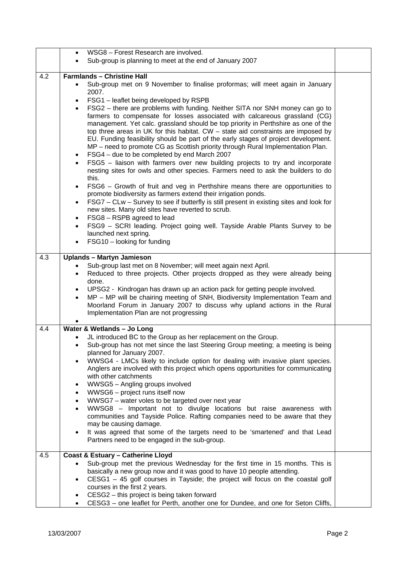|     | WSG8 - Forest Research are involved.                                                                                                                                                                                                                                                                                                                                                                                                                                                                                                                                                                                                                                                                                                                                                                                                                                                                                                                                                                                                                                                                                                                                                                                                                                                                                                                                                         |  |
|-----|----------------------------------------------------------------------------------------------------------------------------------------------------------------------------------------------------------------------------------------------------------------------------------------------------------------------------------------------------------------------------------------------------------------------------------------------------------------------------------------------------------------------------------------------------------------------------------------------------------------------------------------------------------------------------------------------------------------------------------------------------------------------------------------------------------------------------------------------------------------------------------------------------------------------------------------------------------------------------------------------------------------------------------------------------------------------------------------------------------------------------------------------------------------------------------------------------------------------------------------------------------------------------------------------------------------------------------------------------------------------------------------------|--|
|     | Sub-group is planning to meet at the end of January 2007                                                                                                                                                                                                                                                                                                                                                                                                                                                                                                                                                                                                                                                                                                                                                                                                                                                                                                                                                                                                                                                                                                                                                                                                                                                                                                                                     |  |
| 4.2 | <b>Farmlands - Christine Hall</b>                                                                                                                                                                                                                                                                                                                                                                                                                                                                                                                                                                                                                                                                                                                                                                                                                                                                                                                                                                                                                                                                                                                                                                                                                                                                                                                                                            |  |
|     | Sub-group met on 9 November to finalise proformas; will meet again in January<br>2007.<br>FSG1 - leaflet being developed by RSPB<br>FSG2 - there are problems with funding. Neither SITA nor SNH money can go to<br>farmers to compensate for losses associated with calcareous grassland (CG)<br>management. Yet calc. grassland should be top priority in Perthshire as one of the<br>top three areas in UK for this habitat. $CW -$ state aid constraints are imposed by<br>EU. Funding feasibility should be part of the early stages of project development.<br>MP - need to promote CG as Scottish priority through Rural Implementation Plan.<br>FSG4 - due to be completed by end March 2007<br>$\bullet$<br>FSG5 - liaison with farmers over new building projects to try and incorporate<br>nesting sites for owls and other species. Farmers need to ask the builders to do<br>this.<br>FSG6 - Growth of fruit and veg in Perthshire means there are opportunities to<br>$\bullet$<br>promote biodiversity as farmers extend their irrigation ponds.<br>FSG7 - CLw - Survey to see if butterfly is still present in existing sites and look for<br>$\bullet$<br>new sites. Many old sites have reverted to scrub.<br>FSG8 - RSPB agreed to lead<br>$\bullet$<br>FSG9 - SCRI leading. Project going well. Tayside Arable Plants Survey to be<br>$\bullet$<br>launched next spring. |  |
|     | FSG10 - looking for funding<br>$\bullet$                                                                                                                                                                                                                                                                                                                                                                                                                                                                                                                                                                                                                                                                                                                                                                                                                                                                                                                                                                                                                                                                                                                                                                                                                                                                                                                                                     |  |
| 4.3 | <b>Uplands - Martyn Jamieson</b>                                                                                                                                                                                                                                                                                                                                                                                                                                                                                                                                                                                                                                                                                                                                                                                                                                                                                                                                                                                                                                                                                                                                                                                                                                                                                                                                                             |  |
|     | Sub-group last met on 8 November; will meet again next April.<br>Reduced to three projects. Other projects dropped as they were already being<br>$\bullet$<br>done.<br>UPSG2 - Kindrogan has drawn up an action pack for getting people involved.<br>$\bullet$<br>MP - MP will be chairing meeting of SNH, Biodiversity Implementation Team and<br>$\bullet$<br>Moorland Forum in January 2007 to discuss why upland actions in the Rural<br>Implementation Plan are not progressing                                                                                                                                                                                                                                                                                                                                                                                                                                                                                                                                                                                                                                                                                                                                                                                                                                                                                                         |  |
| 4.4 | Water & Wetlands - Jo Long<br>JL introduced BC to the Group as her replacement on the Group.<br>Sub-group has not met since the last Steering Group meeting; a meeting is being<br>planned for January 2007.<br>WWSG4 - LMCs likely to include option for dealing with invasive plant species.<br>$\bullet$<br>Anglers are involved with this project which opens opportunities for communicating<br>with other catchments<br>WWSG5 - Angling groups involved<br>٠<br>WWSG6 - project runs itself now<br>٠<br>WWSG7 - water voles to be targeted over next year<br>$\bullet$<br>WWSG8 - Important not to divulge locations but raise awareness with<br>communities and Tayside Police. Rafting companies need to be aware that they<br>may be causing damage.<br>It was agreed that some of the targets need to be 'smartened' and that Lead<br>$\bullet$<br>Partners need to be engaged in the sub-group.                                                                                                                                                                                                                                                                                                                                                                                                                                                                                   |  |
| 4.5 | <b>Coast &amp; Estuary - Catherine Lloyd</b><br>Sub-group met the previous Wednesday for the first time in 15 months. This is<br>basically a new group now and it was good to have 10 people attending.<br>CESG1 - 45 golf courses in Tayside; the project will focus on the coastal golf<br>٠<br>courses in the first 2 years.<br>CESG2 - this project is being taken forward<br>CESG3 - one leaflet for Perth, another one for Dundee, and one for Seton Cliffs,                                                                                                                                                                                                                                                                                                                                                                                                                                                                                                                                                                                                                                                                                                                                                                                                                                                                                                                           |  |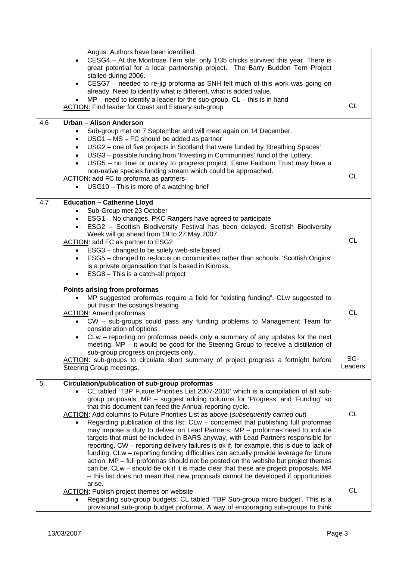|     | Angus. Authors have been identified.<br>CESG4 - At the Montrose Tern site, only 1/35 chicks survived this year. There is<br>great potential for a local partnership project. The Barry Buddon Tern Project<br>stalled during 2006.<br>CESG7 - needed to re-jig proforma as SNH felt much of this work was going on                                                                                                                                                                                                                                                                                                                                                                                                                                                                                                                                                                                                                                                                                                                                                                                  |                  |
|-----|-----------------------------------------------------------------------------------------------------------------------------------------------------------------------------------------------------------------------------------------------------------------------------------------------------------------------------------------------------------------------------------------------------------------------------------------------------------------------------------------------------------------------------------------------------------------------------------------------------------------------------------------------------------------------------------------------------------------------------------------------------------------------------------------------------------------------------------------------------------------------------------------------------------------------------------------------------------------------------------------------------------------------------------------------------------------------------------------------------|------------------|
|     | already. Need to identify what is different, what is added value.<br>$MP$ – need to identify a leader for the sub-group. $CL$ – this is in hand<br><b>ACTION:</b> Find leader for Coast and Estuary sub-group                                                                                                                                                                                                                                                                                                                                                                                                                                                                                                                                                                                                                                                                                                                                                                                                                                                                                       | <b>CL</b>        |
| 4.6 | <b>Urban - Alison Anderson</b><br>Sub-group met on 7 September and will meet again on 14 December.<br>USG1 - MS - FC should be added as partner<br>$\bullet$<br>USG2 - one of five projects in Scotland that were funded by 'Breathing Spaces'<br>$\bullet$<br>USG3 - possible funding from 'Investing in Communities' fund of the Lottery.<br>$\bullet$<br>USG5 - no time or money to progress project. Esme Fairburn Trust may have a<br>non-native species funding stream which could be approached.<br>ACTION: add FC to proforma as partners<br>USG10 - This is more of a watching brief                                                                                                                                                                                                                                                                                                                                                                                                                                                                                                       | <b>CL</b>        |
| 4.7 | <b>Education - Catherine Lloyd</b><br>Sub-Group met 23 October<br>ESG1 - No changes. PKC Rangers have agreed to participate<br>ESG2 - Scottish Biodiversity Festival has been delayed. Scottish Biodiversity<br>Week will go ahead from 19 to 27 May 2007.<br>ACTION: add FC as partner to ESG2<br>ESG3 - changed to be solely web-site based<br>$\bullet$<br>ESG5 - changed to re-focus on communities rather than schools. 'Scottish Origins'<br>$\bullet$<br>is a private organisation that is based in Kinross.<br>ESG8 - This is a catch-all project<br>$\bullet$                                                                                                                                                                                                                                                                                                                                                                                                                                                                                                                              | <b>CL</b>        |
|     | Points arising from proformas<br>MP suggested proformas require a field for "existing funding". CLw suggested to<br>$\bullet$<br>put this in the costings heading<br><b>ACTION:</b> Amend proformas<br>CW – sub-groups could pass any funding problems to Management Team for<br>$\bullet$<br>consideration of options<br>CLw - reporting on proformas needs only a summary of any updates for the next<br>meeting. $MP - it$ would be good for the Steering Group to receive a distillation of<br>sub-group progress on projects only.<br>ACTION: sub-groups to circulate short summary of project progress a fortnight before                                                                                                                                                                                                                                                                                                                                                                                                                                                                     | <b>CL</b><br>SG- |
|     | Steering Group meetings.                                                                                                                                                                                                                                                                                                                                                                                                                                                                                                                                                                                                                                                                                                                                                                                                                                                                                                                                                                                                                                                                            | Leaders          |
| 5.  | Circulation/publication of sub-group proformas<br>CL tabled 'TBP Future Priorities List 2007-2010' which is a compilation of all sub-<br>group proposals. MP - suggest adding columns for 'Progress' and 'Funding' so<br>that this document can feed the Annual reporting cycle.<br>ACTION: Add columns to Future Priorities List as above (subsequently carried out)<br>Regarding publication of this list: CLw - concerned that publishing full proformas<br>may impose a duty to deliver on Lead Partners. MP - proformas need to include<br>targets that must be included in BARS anyway, with Lead Partners responsible for<br>reporting. CW - reporting delivery failures is ok if, for example, this is due to lack of<br>funding. CLw – reporting funding difficulties can actually provide leverage for future<br>action. MP - full proformas should not be posted on the website but project themes<br>can be. CLw – should be ok if it is made clear that these are project proposals. MP<br>- this list does not mean that new proposals cannot be developed if opportunities<br>arise. | <b>CL</b>        |
|     | <b>ACTION:</b> Publish project themes on website<br>Regarding sub-group budgets: CL tabled 'TBP Sub-group micro budget'. This is a<br>provisional sub-group budget proforma. A way of encouraging sub-groups to think                                                                                                                                                                                                                                                                                                                                                                                                                                                                                                                                                                                                                                                                                                                                                                                                                                                                               | <b>CL</b>        |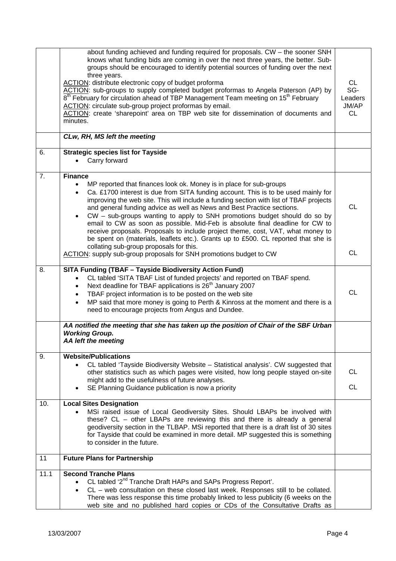|      | about funding achieved and funding required for proposals. CW - the sooner SNH<br>knows what funding bids are coming in over the next three years, the better. Sub-<br>groups should be encouraged to identify potential sources of funding over the next<br>three years.<br>ACTION: distribute electronic copy of budget proforma<br>ACTION: sub-groups to supply completed budget proformas to Angela Paterson (AP) by<br>8 <sup>th</sup> February for circulation ahead of TBP Management Team meeting on 15 <sup>th</sup> February<br>ACTION: circulate sub-group project proformas by email.<br>ACTION: create 'sharepoint' area on TBP web site for dissemination of documents and<br>minutes.                                                                     | <b>CL</b><br>SG-<br>Leaders<br>JM/AP<br><b>CL</b> |
|------|--------------------------------------------------------------------------------------------------------------------------------------------------------------------------------------------------------------------------------------------------------------------------------------------------------------------------------------------------------------------------------------------------------------------------------------------------------------------------------------------------------------------------------------------------------------------------------------------------------------------------------------------------------------------------------------------------------------------------------------------------------------------------|---------------------------------------------------|
|      | CLw, RH, MS left the meeting                                                                                                                                                                                                                                                                                                                                                                                                                                                                                                                                                                                                                                                                                                                                             |                                                   |
| 6.   | <b>Strategic species list for Tayside</b><br>Carry forward                                                                                                                                                                                                                                                                                                                                                                                                                                                                                                                                                                                                                                                                                                               |                                                   |
| 7.   | <b>Finance</b><br>MP reported that finances look ok. Money is in place for sub-groups<br>$\bullet$<br>Ca. £1700 interest is due from SITA funding account. This is to be used mainly for<br>$\bullet$<br>improving the web site. This will include a funding section with list of TBAF projects<br>and general funding advice as well as News and Best Practice sections.<br>CW - sub-groups wanting to apply to SNH promotions budget should do so by<br>$\bullet$<br>email to CW as soon as possible. Mid-Feb is absolute final deadline for CW to<br>receive proposals. Proposals to include project theme, cost, VAT, what money to<br>be spent on (materials, leaflets etc.). Grants up to £500. CL reported that she is<br>collating sub-group proposals for this. | <b>CL</b>                                         |
|      | ACTION: supply sub-group proposals for SNH promotions budget to CW                                                                                                                                                                                                                                                                                                                                                                                                                                                                                                                                                                                                                                                                                                       | <b>CL</b>                                         |
| 8.   | <b>SITA Funding (TBAF - Tayside Biodiversity Action Fund)</b><br>CL tabled 'SITA TBAF List of funded projects' and reported on TBAF spend.<br>$\bullet$<br>Next deadline for TBAF applications is 26 <sup>th</sup> January 2007<br>$\bullet$<br>TBAF project information is to be posted on the web site<br>$\bullet$<br>MP said that more money is going to Perth & Kinross at the moment and there is a<br>$\bullet$<br>need to encourage projects from Angus and Dundee.                                                                                                                                                                                                                                                                                              | <b>CL</b>                                         |
|      | AA notified the meeting that she has taken up the position of Chair of the SBF Urban<br><b>Working Group.</b><br>AA left the meeting                                                                                                                                                                                                                                                                                                                                                                                                                                                                                                                                                                                                                                     |                                                   |
| 9.   | <b>Website/Publications</b><br>CL tabled 'Tayside Biodiversity Website - Statistical analysis'. CW suggested that<br>$\bullet$<br>other statistics such as which pages were visited, how long people stayed on-site<br>might add to the usefulness of future analyses.<br>SE Planning Guidance publication is now a priority<br>٠                                                                                                                                                                                                                                                                                                                                                                                                                                        | <b>CL</b><br><b>CL</b>                            |
| 10.  | <b>Local Sites Designation</b><br>MSi raised issue of Local Geodiversity Sites. Should LBAPs be involved with<br>these? CL - other LBAPs are reviewing this and there is already a general<br>geodiversity section in the TLBAP. MSi reported that there is a draft list of 30 sites<br>for Tayside that could be examined in more detail. MP suggested this is something<br>to consider in the future.                                                                                                                                                                                                                                                                                                                                                                  |                                                   |
| 11   | <b>Future Plans for Partnership</b>                                                                                                                                                                                                                                                                                                                                                                                                                                                                                                                                                                                                                                                                                                                                      |                                                   |
| 11.1 | <b>Second Tranche Plans</b><br>CL tabled '2 <sup>nd</sup> Tranche Draft HAPs and SAPs Progress Report'.<br>$\bullet$<br>CL - web consultation on these closed last week. Responses still to be collated.<br>$\bullet$<br>There was less response this time probably linked to less publicity (6 weeks on the<br>web site and no published hard copies or CDs of the Consultative Drafts as                                                                                                                                                                                                                                                                                                                                                                               |                                                   |